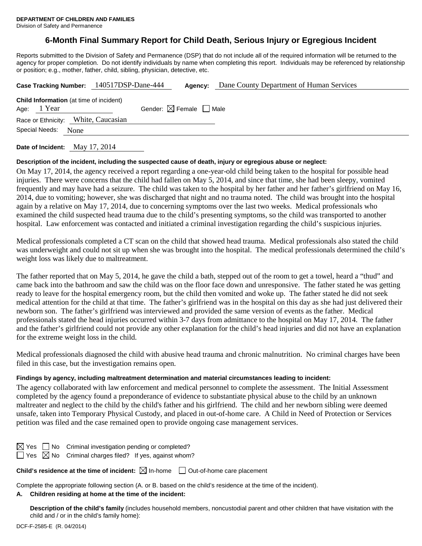Division of Safety and Permanence

## **6-Month Final Summary Report for Child Death, Serious Injury or Egregious Incident**

Reports submitted to the Division of Safety and Permanence (DSP) that do not include all of the required information will be returned to the agency for proper completion. Do not identify individuals by name when completing this report. Individuals may be referenced by relationship or position; e.g., mother, father, child, sibling, physician, detective, etc.

|                                                                 | Case Tracking Number: 140517DSP-Dane-444 | Agency:                                | Dane County Department of Human Services |
|-----------------------------------------------------------------|------------------------------------------|----------------------------------------|------------------------------------------|
| <b>Child Information</b> (at time of incident)<br>Age: $1$ Year |                                          | Gender: $\boxtimes$ Female $\Box$ Male |                                          |
| Race or Ethnicity: White, Caucasian<br>Special Needs:<br>None   |                                          |                                        |                                          |
|                                                                 |                                          |                                        |                                          |

**Date of Incident:** May 17, 2014

#### **Description of the incident, including the suspected cause of death, injury or egregious abuse or neglect:**

On May 17, 2014, the agency received a report regarding a one-year-old child being taken to the hospital for possible head injuries. There were concerns that the child had fallen on May 5, 2014, and since that time, she had been sleepy, vomited frequently and may have had a seizure. The child was taken to the hospital by her father and her father's girlfriend on May 16, 2014, due to vomiting; however, she was discharged that night and no trauma noted. The child was brought into the hospital again by a relative on May 17, 2014, due to concerning symptoms over the last two weeks. Medical professionals who examined the child suspected head trauma due to the child's presenting symptoms, so the child was transported to another hospital. Law enforcement was contacted and initiated a criminal investigation regarding the child's suspicious injuries.

Medical professionals completed a CT scan on the child that showed head trauma. Medical professionals also stated the child was underweight and could not sit up when she was brought into the hospital. The medical professionals determined the child's weight loss was likely due to maltreatment.

The father reported that on May 5, 2014, he gave the child a bath, stepped out of the room to get a towel, heard a "thud" and came back into the bathroom and saw the child was on the floor face down and unresponsive. The father stated he was getting ready to leave for the hospital emergency room, but the child then vomited and woke up. The father stated he did not seek medical attention for the child at that time. The father's girlfriend was in the hospital on this day as she had just delivered their newborn son. The father's girlfriend was interviewed and provided the same version of events as the father. Medical professionals stated the head injuries occurred within 3-7 days from admittance to the hospital on May 17, 2014. The father and the father's girlfriend could not provide any other explanation for the child's head injuries and did not have an explanation for the extreme weight loss in the child.

Medical professionals diagnosed the child with abusive head trauma and chronic malnutrition. No criminal charges have been filed in this case, but the investigation remains open.

#### **Findings by agency, including maltreatment determination and material circumstances leading to incident:**

The agency collaborated with law enforcement and medical personnel to complete the assessment. The Initial Assessment completed by the agency found a preponderance of evidence to substantiate physical abuse to the child by an unknown maltreater and neglect to the child by the child's father and his girlfriend. The child and her newborn sibling were deemed unsafe, taken into Temporary Physical Custody, and placed in out-of-home care. A Child in Need of Protection or Services petition was filed and the case remained open to provide ongoing case management services.

 $\Box$  No Criminal investigation pending or completed?  $\overline{\boxtimes}$  No Criminal charges filed? If yes, against whom?

**Child's residence at the time of incident:** ⊠ In-home □ Out-of-home care placement

Complete the appropriate following section (A. or B. based on the child's residence at the time of the incident).

## **A. Children residing at home at the time of the incident:**

**Description of the child's family** (includes household members, noncustodial parent and other children that have visitation with the child and / or in the child's family home):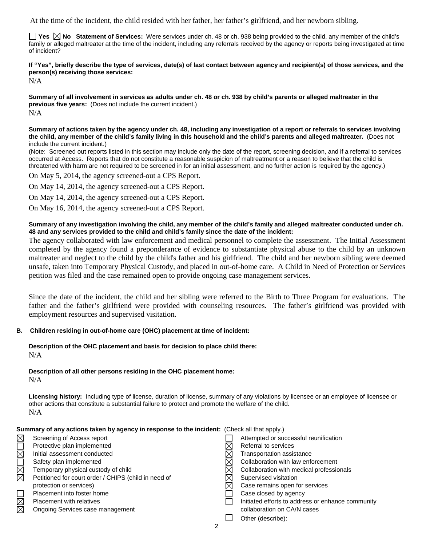At the time of the incident, the child resided with her father, her father's girlfriend, and her newborn sibling.

**Yes**  $\boxtimes$  **No** Statement of Services: Were services under ch. 48 or ch. 938 being provided to the child, any member of the child's family or alleged maltreater at the time of the incident, including any referrals received by the agency or reports being investigated at time of incident?

# **If "Yes", briefly describe the type of services, date(s) of last contact between agency and recipient(s) of those services, and the person(s) receiving those services:**

N/A

**Summary of all involvement in services as adults under ch. 48 or ch. 938 by child's parents or alleged maltreater in the previous five years:** (Does not include the current incident.) N/A

**Summary of actions taken by the agency under ch. 48, including any investigation of a report or referrals to services involving the child, any member of the child's family living in this household and the child's parents and alleged maltreater.** (Does not include the current incident.)

(Note: Screened out reports listed in this section may include only the date of the report, screening decision, and if a referral to services occurred at Access. Reports that do not constitute a reasonable suspicion of maltreatment or a reason to believe that the child is threatened with harm are not required to be screened in for an initial assessment, and no further action is required by the agency.)

On May 5, 2014, the agency screened-out a CPS Report.

On May 14, 2014, the agency screened-out a CPS Report.

On May 14, 2014, the agency screened-out a CPS Report.

On May 16, 2014, the agency screened-out a CPS Report.

#### **Summary of any investigation involving the child, any member of the child's family and alleged maltreater conducted under ch. 48 and any services provided to the child and child's family since the date of the incident:**

The agency collaborated with law enforcement and medical personnel to complete the assessment. The Initial Assessment completed by the agency found a preponderance of evidence to substantiate physical abuse to the child by an unknown maltreater and neglect to the child by the child's father and his girlfriend. The child and her newborn sibling were deemed unsafe, taken into Temporary Physical Custody, and placed in out-of-home care. A Child in Need of Protection or Services petition was filed and the case remained open to provide ongoing case management services.

Since the date of the incident, the child and her sibling were referred to the Birth to Three Program for evaluations. The father and the father's girlfriend were provided with counseling resources. The father's girlfriend was provided with employment resources and supervised visitation.

#### **B. Children residing in out-of-home care (OHC) placement at time of incident:**

#### **Description of the OHC placement and basis for decision to place child there:** N/A

#### **Description of all other persons residing in the OHC placement home:**

N/A

**Licensing history:** Including type of license, duration of license, summary of any violations by licensee or an employee of licensee or other actions that constitute a substantial failure to protect and promote the welfare of the child. N/A

| Summary of any actions taken by agency in response to the incident: (Check all that apply.) |                                                      |  |                                                   |  |  |  |
|---------------------------------------------------------------------------------------------|------------------------------------------------------|--|---------------------------------------------------|--|--|--|
| $\boxtimes$                                                                                 | Screening of Access report                           |  | Attempted or successful reunification             |  |  |  |
|                                                                                             | Protective plan implemented                          |  | Referral to services                              |  |  |  |
| OMOMK                                                                                       | Initial assessment conducted                         |  | Transportation assistance                         |  |  |  |
|                                                                                             | Safety plan implemented                              |  | Collaboration with law enforcement                |  |  |  |
|                                                                                             | Temporary physical custody of child                  |  | Collaboration with medical professionals          |  |  |  |
|                                                                                             | Petitioned for court order / CHIPS (child in need of |  | Supervised visitation                             |  |  |  |
|                                                                                             | protection or services)                              |  | Case remains open for services                    |  |  |  |
|                                                                                             | Placement into foster home                           |  | Case closed by agency                             |  |  |  |
| <b>NN</b>                                                                                   | <b>Placement with relatives</b>                      |  | Initiated efforts to address or enhance community |  |  |  |
|                                                                                             | Ongoing Services case management                     |  | collaboration on CA/N cases                       |  |  |  |
|                                                                                             |                                                      |  | Other (describe):                                 |  |  |  |
|                                                                                             |                                                      |  |                                                   |  |  |  |